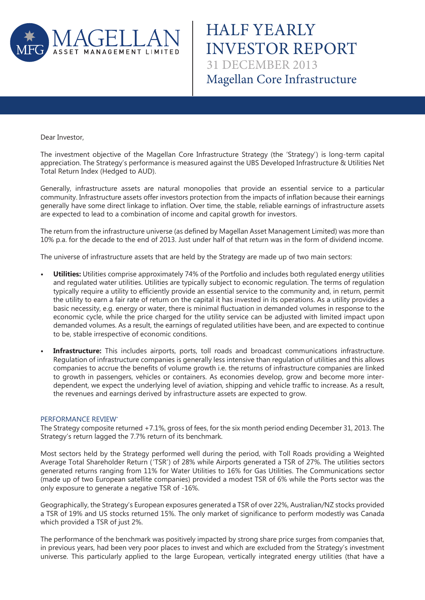

HALF YEARLY INVESTOR REPORT Magellan Core Infrastructure 31 DECEMBER 2013

Dear Investor,

The investment objective of the Magellan Core Infrastructure Strategy (the 'Strategy') is long-term capital appreciation. The Strategy's performance is measured against the UBS Developed Infrastructure & Utilities Net Total Return Index (Hedged to AUD).

Generally, infrastructure assets are natural monopolies that provide an essential service to a particular community. Infrastructure assets offer investors protection from the impacts of inflation because their earnings generally have some direct linkage to inflation. Over time, the stable, reliable earnings of infrastructure assets are expected to lead to a combination of income and capital growth for investors.

The return from the infrastructure universe (as defined by Magellan Asset Management Limited) was more than 10% p.a. for the decade to the end of 2013. Just under half of that return was in the form of dividend income.

The universe of infrastructure assets that are held by the Strategy are made up of two main sectors:

- **Utilities:** Utilities comprise approximately 74% of the Portfolio and includes both regulated energy utilities and regulated water utilities. Utilities are typically subject to economic regulation. The terms of regulation typically require a utility to efficiently provide an essential service to the community and, in return, permit the utility to earn a fair rate of return on the capital it has invested in its operations. As a utility provides a basic necessity, e.g. energy or water, there is minimal fluctuation in demanded volumes in response to the economic cycle, while the price charged for the utility service can be adjusted with limited impact upon demanded volumes. As a result, the earnings of regulated utilities have been, and are expected to continue to be, stable irrespective of economic conditions.
- **Infrastructure:** This includes airports, ports, toll roads and broadcast communications infrastructure. Regulation of infrastructure companies is generally less intensive than regulation of utilities and this allows companies to accrue the benefits of volume growth i.e. the returns of infrastructure companies are linked to growth in passengers, vehicles or containers. As economies develop, grow and become more interdependent, we expect the underlying level of aviation, shipping and vehicle traffic to increase. As a result, the revenues and earnings derived by infrastructure assets are expected to grow.

### PERFORMANCE REVIEW\*

The Strategy composite returned +7.1%, gross of fees, for the six month period ending December 31, 2013. The Strategy's return lagged the 7.7% return of its benchmark.

Most sectors held by the Strategy performed well during the period, with Toll Roads providing a Weighted Average Total Shareholder Return ('TSR') of 28% while Airports generated a TSR of 27%. The utilities sectors generated returns ranging from 11% for Water Utilities to 16% for Gas Utilities. The Communications sector (made up of two European satellite companies) provided a modest TSR of 6% while the Ports sector was the only exposure to generate a negative TSR of -16%.

Geographically, the Strategy's European exposures generated a TSR of over 22%, Australian/NZ stocks provided a TSR of 19% and US stocks returned 15%. The only market of significance to perform modestly was Canada which provided a TSR of just 2%.

The performance of the benchmark was positively impacted by strong share price surges from companies that, in previous years, had been very poor places to invest and which are excluded from the Strategy's investment universe. This particularly applied to the large European, vertically integrated energy utilities (that have a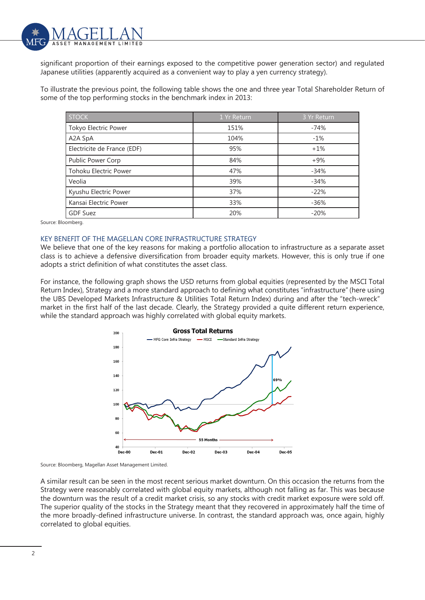

significant proportion of their earnings exposed to the competitive power generation sector) and regulated Japanese utilities (apparently acquired as a convenient way to play a yen currency strategy).

To illustrate the previous point, the following table shows the one and three year Total Shareholder Return of some of the top performing stocks in the benchmark index in 2013:

| <b>STOCK</b>                 | 1 Yr Return | 3 Yr Return |
|------------------------------|-------------|-------------|
| Tokyo Electric Power         | 151%        | $-74%$      |
| A2A SpA                      | 104%        | $-1%$       |
| Electricite de France (EDF)  | 95%         | $+1%$       |
| Public Power Corp            | 84%         | $+9%$       |
| <b>Tohoku Electric Power</b> | 47%         | $-34%$      |
| Veolia                       | 39%         | $-34%$      |
| Kyushu Electric Power        | 37%         | $-22%$      |
| Kansai Electric Power        | 33%         | $-36%$      |
| <b>GDF Suez</b>              | 20%         | $-20%$      |

Source: Bloomberg.

#### KEY BENEFIT OF THE MAGELLAN CORE INFRASTRUCTURE STRATEGY

We believe that one of the key reasons for making a portfolio allocation to infrastructure as a separate asset class is to achieve a defensive diversification from broader equity markets. However, this is only true if one adopts a strict definition of what constitutes the asset class.

For instance, the following graph shows the USD returns from global equities (represented by the MSCI Total Return Index), Strategy and a more standard approach to defining what constitutes "infrastructure" (here using the UBS Developed Markets Infrastructure & Utilities Total Return Index) during and after the "tech-wreck" market in the first half of the last decade. Clearly, the Strategy provided a quite different return experience, while the standard approach was highly correlated with global equity markets.



Source: Bloomberg, Magellan Asset Management Limited.

A similar result can be seen in the most recent serious market downturn. On this occasion the returns from the Strategy were reasonably correlated with global equity markets, although not falling as far. This was because the downturn was the result of a credit market crisis, so any stocks with credit market exposure were sold off. The superior quality of the stocks in the Strategy meant that they recovered in approximately half the time of the more broadly-defined infrastructure universe. In contrast, the standard approach was, once again, highly correlated to global equities.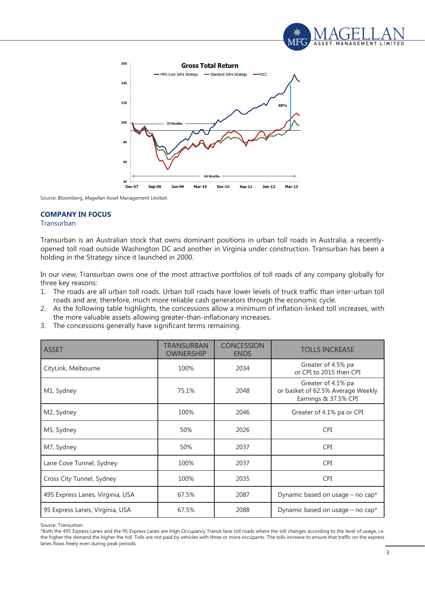



Source: Bloomberg, Magellan Asset Management Limited.

# **COMPANY IN FOCUS**

# Transurban

Transurban is an Australian stock that owns dominant positions in urban toll roads in Australia, a recentlyopened toll road outside Washington DC and another in Virginia under construction. Transurban has been a holding in the Strategy since it launched in 2000.

In our view, Transurban owns one of the most attractive portfolios of toll roads of any company globally for three key reasons:

- 1. The roads are all urban toll roads. Urban toll roads have lower levels of truck traffic than inter-urban toll roads and are, therefore, much more reliable cash generators through the economic cycle.
- 2. As the following table highlights, the concessions allow a minimum of inflation-linked toll increases, with the more valuable assets allowing greater-than-inflationary increases.
- 3. The concessions generally have significant terms remaining.

| <b>ASSET</b>                     | <b>TRANSURBAN</b><br><b>OWNERSHIP</b> | <b>CONCESSION</b><br><b>ENDS</b> | <b>TOLLS INCREASE</b>                                                           |
|----------------------------------|---------------------------------------|----------------------------------|---------------------------------------------------------------------------------|
| CityLink, Melbourne              | 100%                                  | 2034                             | Greater of 4.5% pa<br>or CPI to 2015 then CPI                                   |
| M1, Sydney                       | 75.1%                                 | 2048                             | Greater of 4.1% pa<br>or basket of 62.5% Average Weekly<br>Earnings & 37.5% CPI |
| M2, Sydney                       | 100%                                  | 2046                             | Greater of 4.1% pa or CPI                                                       |
| M5, Sydney                       | 50%                                   | 2026                             | <b>CPI</b>                                                                      |
| M7, Sydney                       | 50%                                   | 2037                             | <b>CPI</b>                                                                      |
| Lane Cove Tunnel, Sydney         | 100%                                  | 2037                             | <b>CPI</b>                                                                      |
| Cross City Tunnel, Sydney        | 100%                                  | 2035                             | <b>CPI</b>                                                                      |
| 495 Express Lanes, Virginia, USA | 67.5%                                 | 2087                             | Dynamic based on usage - no cap*                                                |
| 95 Express Lanes, Virginia, USA  | 67.5%                                 | 2088                             | Dynamic based on usage – no cap*                                                |

Source: Transurban.

\*Both the 495 Express Lanes and the 95 Express Lanes are High Occupancy Transit lane toll roads where the toll changes according to the level of usage, i.e. the higher the demand the higher the toll. Tolls are not paid by vehicles with three or more occupants. The tolls increase to ensure that traffic on the express lanes flows freely even during peak periods.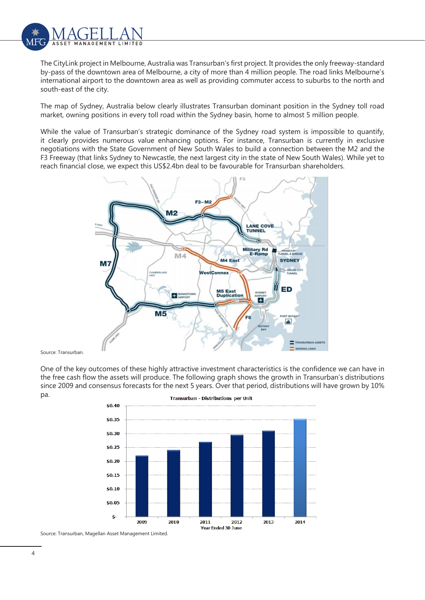

The CityLink project in Melbourne, Australia was Transurban's first project. It provides the only freeway-standard by-pass of the downtown area of Melbourne, a city of more than 4 million people. The road links Melbourne's international airport to the downtown area as well as providing commuter access to suburbs to the north and south-east of the city.

The map of Sydney, Australia below clearly illustrates Transurban dominant position in the Sydney toll road market, owning positions in every toll road within the Sydney basin, home to almost 5 million people.

While the value of Transurban's strategic dominance of the Sydney road system is impossible to quantify, it clearly provides numerous value enhancing options. For instance, Transurban is currently in exclusive negotiations with the State Government of New South Wales to build a connection between the M2 and the F3 Freeway (that links Sydney to Newcastle, the next largest city in the state of New South Wales). While yet to reach financial close, we expect this US\$2.4bn deal to be favourable for Transurban shareholders.



Source: Transurban.

One of the key outcomes of these highly attractive investment characteristics is the confidence we can have in the free cash flow the assets will produce. The following graph shows the growth in Transurban's distributions since 2009 and consensus forecasts for the next 5 years. Over that period, distributions will have grown by 10% pa.



Source: Transurban, Magellan Asset Management Limited.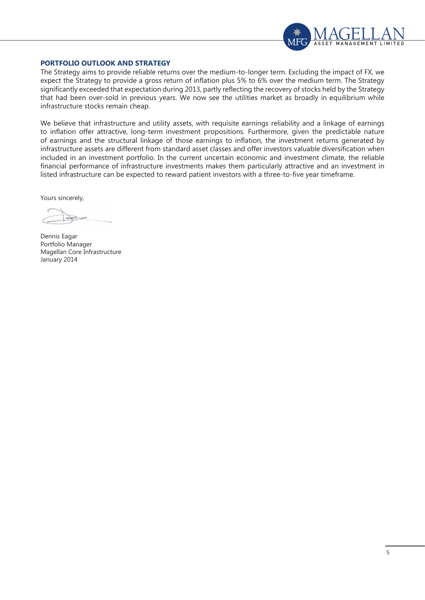

## **PORTFOLIO OUTLOOK AND STRATEGY**

The Strategy aims to provide reliable returns over the medium-to-longer term. Excluding the impact of FX, we expect the Strategy to provide a gross return of inflation plus 5% to 6% over the medium term. The Strategy significantly exceeded that expectation during 2013, partly reflecting the recovery of stocks held by the Strategy that had been over-sold in previous years. We now see the utilities market as broadly in equilibrium while infrastructure stocks remain cheap.

We believe that infrastructure and utility assets, with requisite earnings reliability and a linkage of earnings to inflation offer attractive, long-term investment propositions. Furthermore, given the predictable nature of earnings and the structural linkage of those earnings to inflation, the investment returns generated by infrastructure assets are different from standard asset classes and offer investors valuable diversification when included in an investment portfolio. In the current uncertain economic and investment climate, the reliable financial performance of infrastructure investments makes them particularly attractive and an investment in listed infrastructure can be expected to reward patient investors with a three-to-five year timeframe.

Yours sincerely,

Dennis Eagar Portfolio Manager Magellan Core Infrastructure January 2014